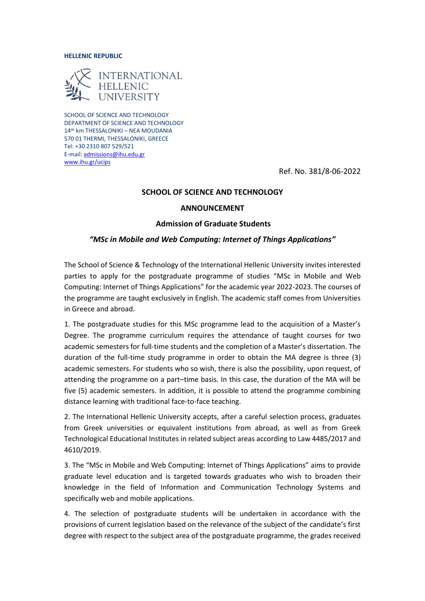#### **HELLENIC REPUBLIC**



SCHOOL OF SCIENCE AND TECHNOLOGY DEPARTMENT OF SCIENCE AND TECHNOLOGY 14th km THESSALONIKI – NEA MOUDANIA 570 01 THERMI, THESSALONIKI, GREECE Tel: +30 2310 807 529/521 E-mail[: admissions@ihu.edu.gr](mailto:admissions@ihu.edu.gr) [www.ihu.gr/ucips](http://www.ihu.gr/ucips) 

Ref. No. 381/8-06-2022

### **SCHOOL OF SCIENCE AND TECHNOLOGY**

## **ANNOUNCEMENT**

## **Admission of Graduate Students**

## *"MSc in Mobile and Web Computing: Internet of Things Applications"*

The School of Science & Technology of the International Hellenic University invites interested parties to apply for the postgraduate programme of studies "MSc in Mobile and Web Computing: Internet of Things Applications" for the academic year 2022-2023. The courses of the programme are taught exclusively in English. The academic staff comes from Universities in Greece and abroad.

1. The postgraduate studies for this MSc programme lead to the acquisition of a Master's Degree. The programme curriculum requires the attendance of taught courses for two academic semesters for full-time students and the completion of a Master's dissertation. The duration of the full-time study programme in order to obtain the MA degree is three (3) academic semesters. For students who so wish, there is also the possibility, upon request, of attending the programme on a part–time basis. In this case, the duration of the MA will be five (5) academic semesters. In addition, it is possible to attend the programme combining distance learning with traditional face-to-face teaching.

2. The International Hellenic University accepts, after a careful selection process, graduates from Greek universities or equivalent institutions from abroad, as well as from Greek Technological Educational Institutes in related subject areas according to Law 4485/2017 and 4610/2019.

3. The "MSc in Mobile and Web Computing: Internet of Things Applications" aims to provide graduate level education and is targeted towards graduates who wish to broaden their knowledge in the field of Information and Communication Technology Systems and specifically web and mobile applications.

4. The selection of postgraduate students will be undertaken in accordance with the provisions of current legislation based on the relevance of the subject of the candidate's first degree with respect to the subject area of the postgraduate programme, the grades received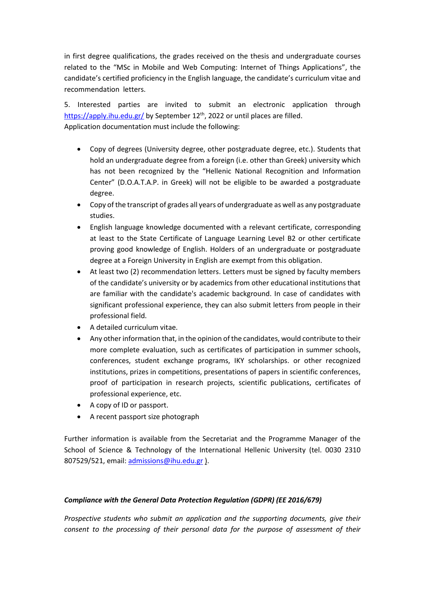in first degree qualifications, the grades received on the thesis and undergraduate courses related to the "MSc in Mobile and Web Computing: Internet of Things Applications", the candidate's certified proficiency in the English language, the candidate's curriculum vitae and recommendation letters.

5. Interested parties are invited to submit an electronic application through <https://apply.ihu.edu.gr/> by September 12<sup>th</sup>, 2022 or until places are filled. Application documentation must include the following:

- Copy of degrees (University degree, other postgraduate degree, etc.). Students that hold an undergraduate degree from a foreign (i.e. other than Greek) university which has not been recognized by the "Hellenic National Recognition and Information Center" (D.O.A.T.A.P. in Greek) will not be eligible to be awarded a postgraduate degree.
- Copy of the transcript of grades all years of undergraduate as well as any postgraduate studies.
- English language knowledge documented with a relevant certificate, corresponding at least to the State Certificate of Language Learning Level B2 or other certificate proving good knowledge of English. Holders of an undergraduate or postgraduate degree at a Foreign University in English are exempt from this obligation.
- At least two (2) recommendation letters. Letters must be signed by faculty members of the candidate's university or by academics from other educational institutions that are familiar with the candidate's academic background. In case of candidates with significant professional experience, they can also submit letters from people in their professional field.
- A detailed curriculum vitae.
- Any other information that, in the opinion of the candidates, would contribute to their more complete evaluation, such as certificates of participation in summer schools, conferences, student exchange programs, IKY scholarships. or other recognized institutions, prizes in competitions, presentations of papers in scientific conferences, proof of participation in research projects, scientific publications, certificates of professional experience, etc.
- A copy of ID or passport.
- A recent passport size photograph

Further information is available from the Secretariat and the Programme Manager of the School of Science & Technology of the International Hellenic University (tel. 0030 2310 807529/521, email[: admissions@ihu.edu.gr](mailto:admissions@ihu.edu.gr) ).

# *Compliance with the General Data Protection Regulation (GDPR) (EE 2016/679)*

*Prospective students who submit an application and the supporting documents, give their consent to the processing of their personal data for the purpose of assessment of their*